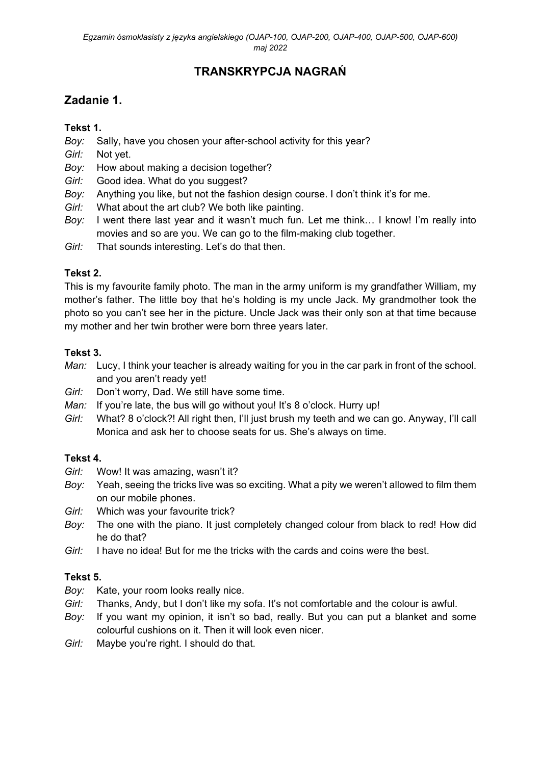# **TRANSKRYPCJA NAGRAŃ**

## **Zadanie 1.**

### **Tekst 1.**

- *Boy:* Sally, have you chosen your after-school activity for this year?
- *Girl:* Not yet.
- *Boy:* How about making a decision together?
- *Girl:* Good idea. What do you suggest?
- *Boy:* Anything you like, but not the fashion design course. I don't think it's for me.
- *Girl:* What about the art club? We both like painting.
- *Boy:* I went there last year and it wasn't much fun. Let me think… I know! I'm really into movies and so are you. We can go to the film-making club together.
- *Girl:* That sounds interesting. Let's do that then.

### **Tekst 2.**

This is my favourite family photo. The man in the army uniform is my grandfather William, my mother's father. The little boy that he's holding is my uncle Jack. My grandmother took the photo so you can't see her in the picture. Uncle Jack was their only son at that time because my mother and her twin brother were born three years later.

### **Tekst 3.**

- *Man:* Lucy, I think your teacher is already waiting for you in the car park in front of the school. and you aren't ready yet!
- *Girl:* Don't worry, Dad. We still have some time.
- *Man:* If you're late, the bus will go without you! It's 8 o'clock. Hurry up!
- *Girl:* What? 8 o'clock?! All right then, I'll just brush my teeth and we can go. Anyway, I'll call Monica and ask her to choose seats for us. She's always on time.

### **Tekst 4.**

- *Girl:* Wow! It was amazing, wasn't it?
- *Boy:* Yeah, seeing the tricks live was so exciting. What a pity we weren't allowed to film them on our mobile phones.
- *Girl:* Which was your favourite trick?
- *Boy:* The one with the piano. It just completely changed colour from black to red! How did he do that?
- *Girl:* I have no idea! But for me the tricks with the cards and coins were the best.

#### **Tekst 5.**

- *Boy:* Kate, your room looks really nice.
- *Girl:* Thanks, Andy, but I don't like my sofa. It's not comfortable and the colour is awful.
- *Boy:* If you want my opinion, it isn't so bad, really. But you can put a blanket and some colourful cushions on it. Then it will look even nicer.
- *Girl:* Maybe you're right. I should do that.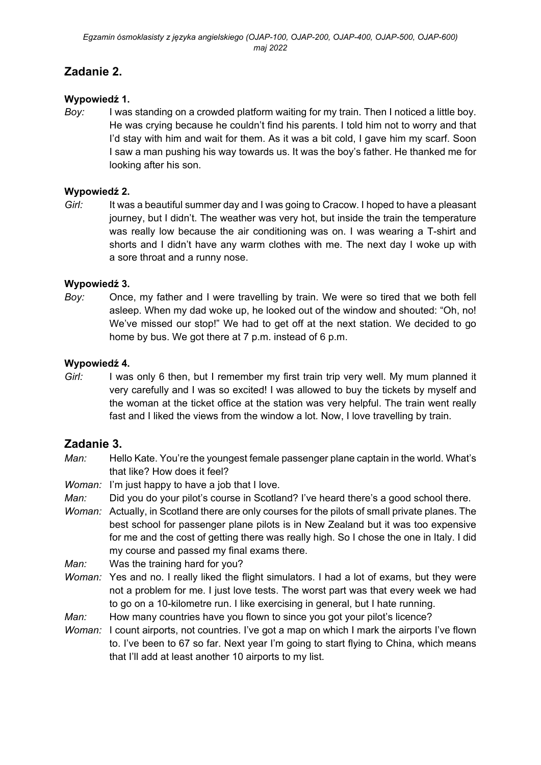## **Zadanie 2.**

#### **Wypowiedź 1.**

*Boy:* I was standing on a crowded platform waiting for my train. Then I noticed a little boy. He was crying because he couldn't find his parents. I told him not to worry and that I'd stay with him and wait for them. As it was a bit cold, I gave him my scarf. Soon I saw a man pushing his way towards us. It was the boy's father. He thanked me for looking after his son.

#### **Wypowiedź 2.**

*Girl:* It was a beautiful summer day and I was going to Cracow. I hoped to have a pleasant journey, but I didn't. The weather was very hot, but inside the train the temperature was really low because the air conditioning was on. I was wearing a T-shirt and shorts and I didn't have any warm clothes with me. The next day I woke up with a sore throat and a runny nose.

### **Wypowiedź 3.**

*Boy:* Once, my father and I were travelling by train. We were so tired that we both fell asleep. When my dad woke up, he looked out of the window and shouted: "Oh, no! We've missed our stop!" We had to get off at the next station. We decided to go home by bus. We got there at 7 p.m. instead of 6 p.m.

### **Wypowiedź 4.**

*Girl:* I was only 6 then, but I remember my first train trip very well. My mum planned it very carefully and I was so excited! I was allowed to buy the tickets by myself and the woman at the ticket office at the station was very helpful. The train went really fast and I liked the views from the window a lot. Now, I love travelling by train.

### **Zadanie 3.**

- *Man:* Hello Kate. You're the youngest female passenger plane captain in the world. What's that like? How does it feel?
- *Woman:* I'm just happy to have a job that I love.
- *Man:* Did you do your pilot's course in Scotland? I've heard there's a good school there.
- *Woman:* Actually, in Scotland there are only courses for the pilots of small private planes. The best school for passenger plane pilots is in New Zealand but it was too expensive for me and the cost of getting there was really high. So I chose the one in Italy. I did my course and passed my final exams there.
- *Man:* Was the training hard for you?
- *Woman:* Yes and no. I really liked the flight simulators. I had a lot of exams, but they were not a problem for me. I just love tests. The worst part was that every week we had to go on a 10-kilometre run. I like exercising in general, but I hate running.
- *Man:* How many countries have you flown to since you got your pilot's licence?
- *Woman:* I count airports, not countries. I've got a map on which I mark the airports I've flown to. I've been to 67 so far. Next year I'm going to start flying to China, which means that I'll add at least another 10 airports to my list.